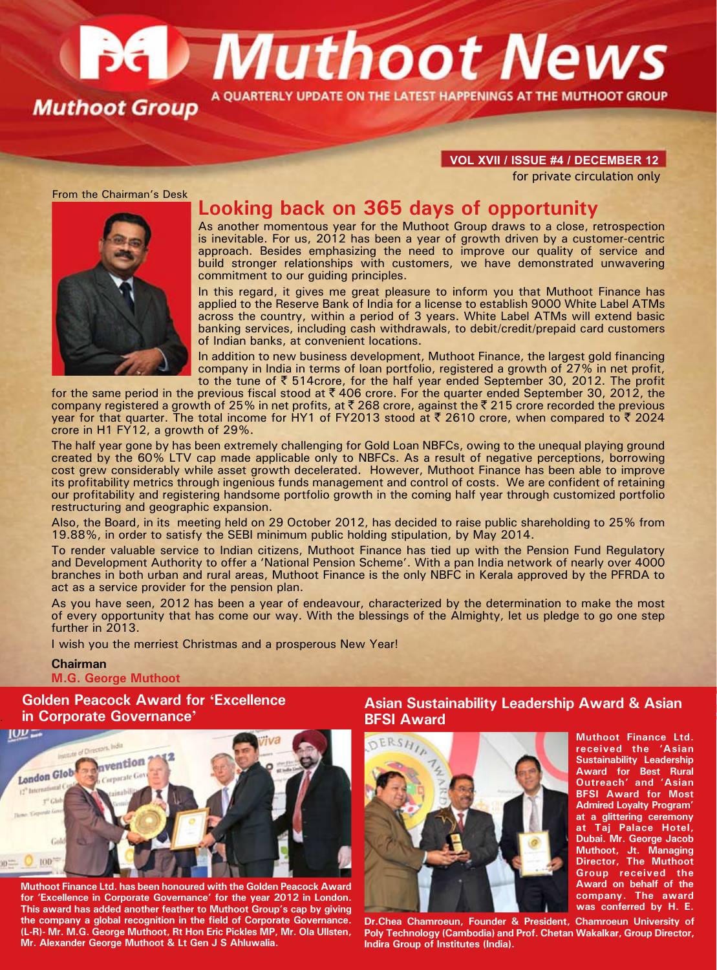# **Bet Muthoot News** A OUARTERLY UPDATE ON THE LATEST HAPPENINGS AT THE MUTHOOT GROUP **Muthoot Group**

#### **VOL XVII / ISSUE #4 / december 12**

for private circulation only



# **Looking back on 365 days of opportunity**

As another momentous year for the Muthoot Group draws to a close, retrospection is inevitable. For us, 2012 has been a year of growth driven by a customer-centric approach. Besides emphasizing the need to improve our quality of service and build stronger relationships with customers, we have demonstrated unwavering commitment to our quiding principles.

In this regard, it gives me great pleasure to inform you that Muthoot Finance has applied to the Reserve Bank of India for a license to establish 9000 White Label ATMs across the country, within a period of 3 years. White Label ATMs will extend basic banking services, including cash withdrawals, to debit/credit/prepaid card customers of Indian banks, at convenient locations.

In addition to new business development, Muthoot Finance, the largest gold financing company in India in terms of loan portfolio, registered a growth of 27% in net profit, to the tune of  $\bar{\xi}$  514crore, for the half year ended September 30, 2012. The profit

for the same period in the previous fiscal stood at  $\bar{\tau}$  406 crore. For the quarter ended September 30, 2012, the company registered a growth of 25% in net profits, at  $\bar{\tau}$  268 crore, against the  $\bar{\tau}$  215 crore recorded the previous year for that quarter. The total income for HY1 of FY2013 stood at  $\bar{\tau}$  2610 crore, when compared to  $\bar{\tau}$  2024 crore in H1 FY12, a growth of 29%.

The half year gone by has been extremely challenging for Gold Loan NBFCs, owing to the unequal playing ground created by the 60% LTV cap made applicable only to NBFCs. As a result of negative perceptions, borrowing cost grew considerably while asset growth decelerated. However, Muthoot Finance has been able to improve its profitability metrics through ingenious funds management and control of costs. We are confident of retaining our profitability and registering handsome portfolio growth in the coming half year through customized portfolio restructuring and geographic expansion.

Also, the Board, in its meeting held on 29 October 2012, has decided to raise public shareholding to 25% from 19.88%, in order to satisfy the SEBI minimum public holding stipulation, by May 2014.

To render valuable service to Indian citizens, Muthoot Finance has tied up with the Pension Fund Regulatory and Development Authority to offer a 'National Pension Scheme'. With a pan India network of nearly over 4000 branches in both urban and rural areas, Muthoot Finance is the only NBFC in Kerala approved by the PFRDA to act as a service provider for the pension plan.

As you have seen, 2012 has been a year of endeavour, characterized by the determination to make the most of every opportunity that has come our way. With the blessings of the Almighty, let us pledge to go one step further in 2013.

I wish you the merriest Christmas and a prosperous New Year!

#### **Chairman**

.

**M.G. George Muthoot**

**Golden Peacock Award for 'Excellence in Corporate Governance'**



**Muthoot Finance Ltd. has been honoured with the Golden Peacock Award for 'Excellence in Corporate Governance' for the year 2012 in London. This award has added another feather to Muthoot Group's cap by giving the company a global recognition in the field of Corporate Governance. (L-R)- Mr. M.G. George Muthoot, Rt Hon Eric Pickles MP, Mr. Ola Ullsten, Mr. Alexander George Muthoot & Lt Gen J S Ahluwalia.**

## **Asian Sustainability Leadership Award & Asian BFSI Award**



**Muthoot Finance Ltd. received the 'Asian Sustainability Leadership Award for Best Rural Outreach' and 'Asian BFSI Award for Most Admired Loyalty Program' at a glittering ceremony at Taj Palace Hotel, Dubai. Mr. George Jacob Muthoot, Jt. Managing Director, The Muthoot Group received the Award on behalf of the company. The award** was conferred by H. E.

**Dr.Chea Chamroeun, Founder & President, Chamroeun University of Poly Technology (Cambodia) and Prof. Chetan Wakalkar, Group Director, Indira Group of Institutes (India).**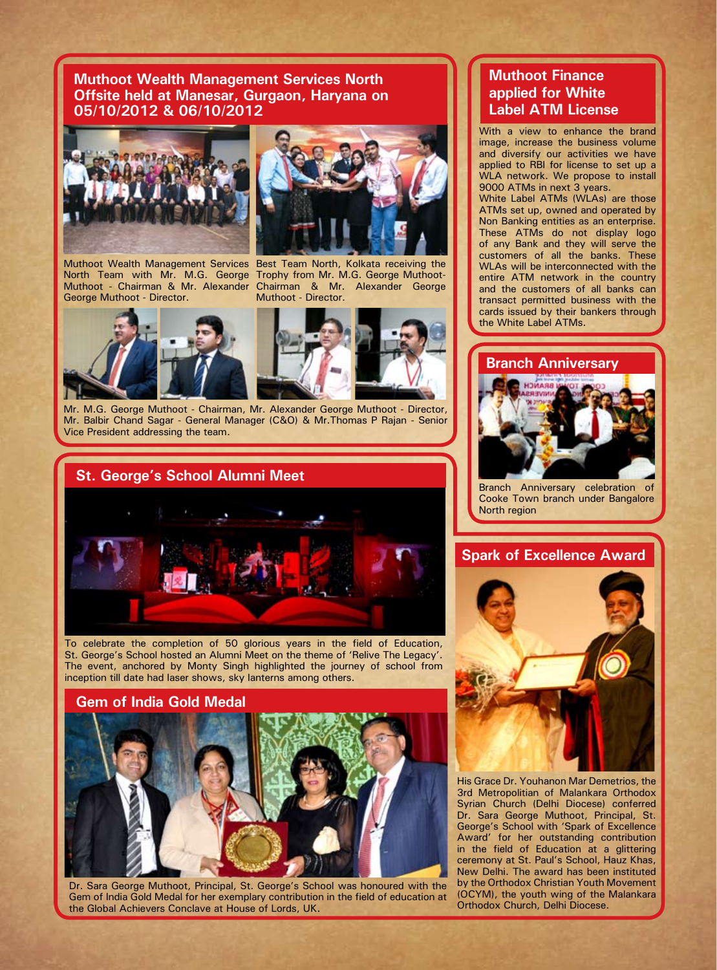**Muthoot Wealth Management Services North Offsite held at Manesar, Gurgaon, Haryana on 05/10/2012 & 06/10/2012**





George Muthoot - Director.

Muthoot Wealth Management Services Best Team North, Kolkata receiving the North Team with Mr. M.G. George Trophy from Mr. M.G. George Muthoot-Muthoot - Chairman & Mr. Alexander Chairman & Mr. Alexander George Muthoot - Director.





Mr. M.G. George Muthoot - Chairman, Mr. Alexander George Muthoot - Director, Mr. Balbir Chand Sagar - General Manager (C&O) & Mr.Thomas P Rajan - Senior Vice President addressing the team.

# **St. George's School Alumni Meet**



To celebrate the completion of 50 glorious years in the field of Education, St. George's School hosted an Alumni Meet on the theme of 'Relive The Legacy'. The event, anchored by Monty Singh highlighted the journey of school from inception till date had laser shows, sky lanterns among others.



Dr. Sara George Muthoot, Principal, St. George's School was honoured with the Gem of India Gold Medal for her exemplary contribution in the field of education at the Global Achievers Conclave at House of Lords, UK.

# **Muthoot Finance applied for White Label ATM License**

With a view to enhance the brand image, increase the business volume and diversify our activities we have applied to RBI for license to set up a WLA network. We propose to install 9000 ATMs in next 3 years.

White Label ATMs (WLAs) are those ATMs set up, owned and operated by Non Banking entities as an enterprise. These ATMs do not display logo of any Bank and they will serve the customers of all the banks. These WLAs will be interconnected with the entire ATM network in the country and the customers of all banks can transact permitted business with the cards issued by their bankers through the White Label ATMs.

# **Branch Anniversary**



Branch Anniversary celebration of Cooke Town branch under Bangalore North region

# **Spark of Excellence Award**



His Grace Dr. Youhanon Mar Demetrios, the 3rd Metropolitian of Malankara Orthodox Syrian Church (Delhi Diocese) conferred Dr. Sara George Muthoot, Principal, St. George's School with 'Spark of Excellence Award' for her outstanding contribution in the field of Education at a glittering ceremony at St. Paul's School, Hauz Khas, New Delhi. The award has been instituted by the Orthodox Christian Youth Movement (OCYM), the youth wing of the Malankara Orthodox Church, Delhi Diocese.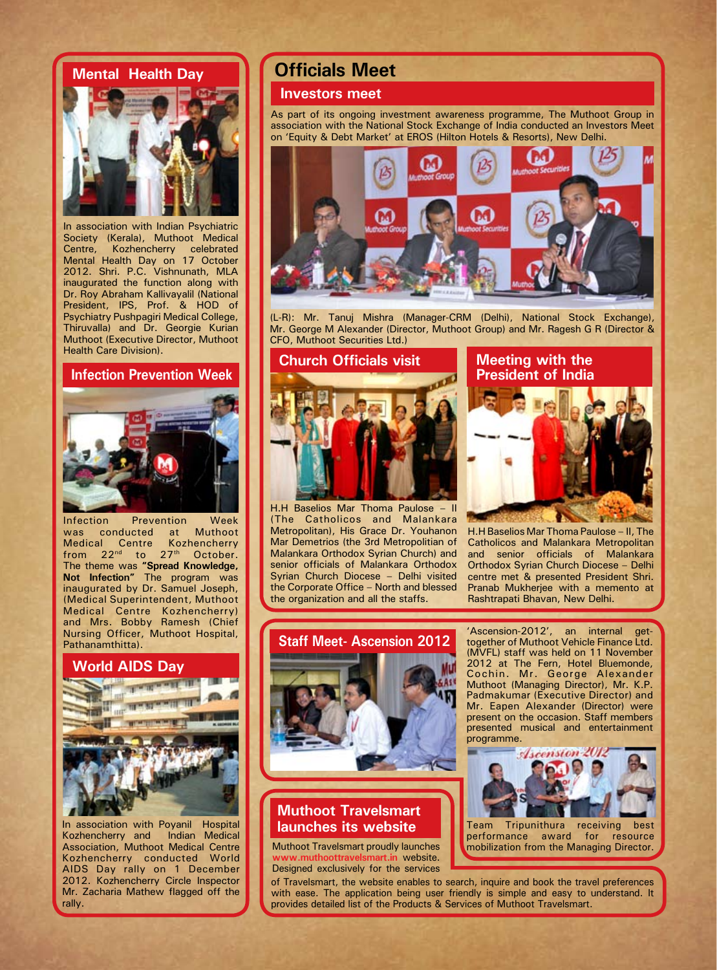## **Mental Health Day**



In association with Indian Psychiatric Society (Kerala), Muthoot Medical Centre, Kozhencherry celebrated Mental Health Day on 17 October 2012. Shri. P.C. Vishnunath, MLA inaugurated the function along with Dr. Roy Abraham Kallivayalil (National President, IPS, Prof. & HOD of Psychiatry Pushpagiri Medical College, Thiruvalla) and Dr. Georgie Kurian Muthoot (Executive Director, Muthoot Health Care Division).

### **Infection Prevention Week**



Infection Prevention Week was conducted at Muthoot<br>Medical Centre Kozhencherry Medical Centre from  $22^{nd}$  to  $27^{th}$  October. The theme was **"Spread Knowledge, Not Infection"** The program was inaugurated by Dr. Samuel Joseph, (Medical Superintendent, Muthoot Medical Centre Kozhencherry) and Mrs. Bobby Ramesh (Chief Nursing Officer, Muthoot Hospital, Pathanamthitta).

#### **World AIDS Day**



In association with Poyanil Hospital<br>Kozhencherry and Indian Medical Kozhencherry and Association, Muthoot Medical Centre Kozhencherry conducted World AIDS Day rally on 1 December 2012. Kozhencherry Circle Inspector Mr. Zacharia Mathew flagged off the rally.

# **Officials Meet**

### **Investors meet**

As part of its ongoing investment awareness programme, The Muthoot Group in association with the National Stock Exchange of India conducted an Investors Meet on 'Equity & Debt Market' at EROS (Hilton Hotels & Resorts), New Delhi.



(L-R): Mr. Tanuj Mishra (Manager-CRM (Delhi), National Stock Exchange), Mr. George M Alexander (Director, Muthoot Group) and Mr. Ragesh G R (Director & CFO, Muthoot Securities Ltd.)



H.H Baselios Mar Thoma Paulose – II (The Catholicos and Malankara Metropolitan), His Grace Dr. Youhanon Mar Demetrios (the 3rd Metropolitian of Malankara Orthodox Syrian Church) and senior officials of Malankara Orthodox Syrian Church Diocese – Delhi visited the Corporate Office – North and blessed the organization and all the staffs.

# **Meeting with the President of India**



H.H Baselios Mar Thoma Paulose – II, The Catholicos and Malankara Metropolitan and senior officials of Malankara Orthodox Syrian Church Diocese – Delhi centre met & presented President Shri. Pranab Mukherjee with a memento at Rashtrapati Bhavan, New Delhi.



# **Muthoot Travelsmart launches its website**

Muthoot Travelsmart proudly launches **www.muthoottravelsmart.in** website. Designed exclusively for the services

'Ascension-2012', an internal gettogether of Muthoot Vehicle Finance Ltd. (MVFL) staff was held on 11 November 2012 at The Fern, Hotel Bluemonde, Cochin. Mr. George Alexander Muthoot (Managing Director), Mr. K.P. Padmakumar (Executive Director) and Mr. Eapen Alexander (Director) were present on the occasion. Staff members presented musical and entertainment programme.



of Travelsmart, the website enables to search, inquire and book the travel preferences with ease. The application being user friendly is simple and easy to understand. It provides detailed list of the Products & Services of Muthoot Travelsmart.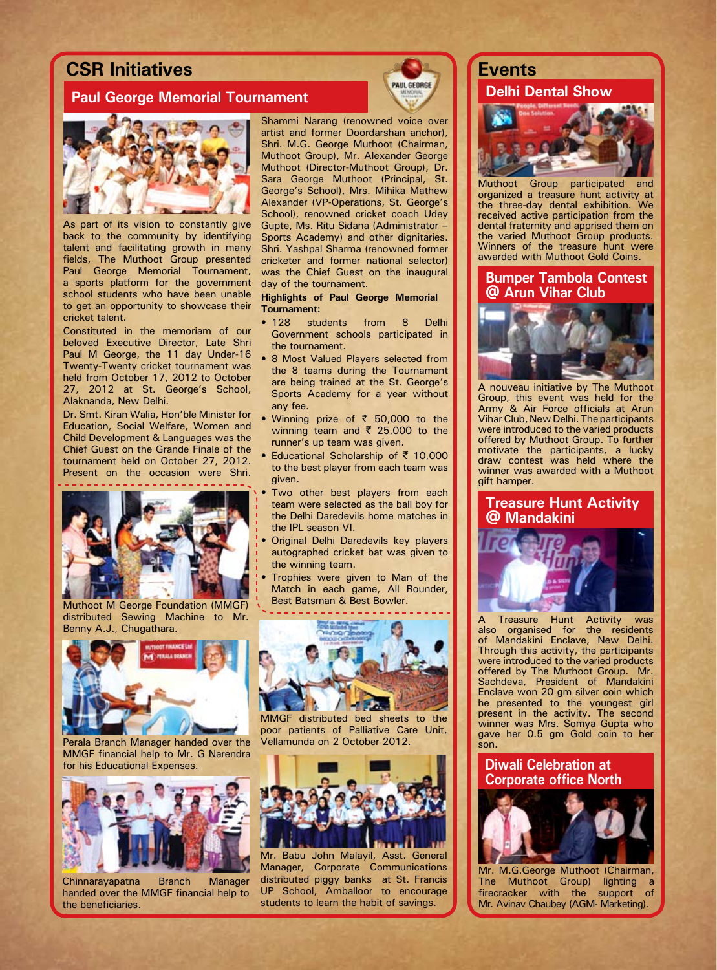# **CSR Initiatives Events**

# **Paul George Memorial Tournament Delaware and Dental Show**



As part of its vision to constantly give back to the community by identifying talent and facilitating growth in many fields, The Muthoot Group presented Paul George Memorial Tournament, a sports platform for the government school students who have been unable to get an opportunity to showcase their cricket talent.

Constituted in the memoriam of our beloved Executive Director, Late Shri Paul M George, the 11 day Under-16 Twenty-Twenty cricket tournament was held from October 17, 2012 to October 27, 2012 at St. George's School, Alaknanda, New Delhi.

Dr. Smt. Kiran Walia, Hon'ble Minister for Education, Social Welfare, Women and Child Development & Languages was the Chief Guest on the Grande Finale of the tournament held on October 27, 2012. Present on the occasion were Shri.



Muthoot M George Foundation (MMGF) distributed Sewing Machine to Mr. Benny A.J., Chugathara.



Perala Branch Manager handed over the MMGF financial help to Mr. G Narendra for his Educational Expenses.



Chinnarayapatna Branch Manager handed over the MMGF financial help to the beneficiaries



Shammi Narang (renowned voice over artist and former Doordarshan anchor), Shri. M.G. George Muthoot (Chairman, Muthoot Group), Mr. Alexander George Muthoot (Director-Muthoot Group), Dr. Sara George Muthoot (Principal, St. George's School), Mrs. Mihika Mathew Alexander (VP-Operations, St. George's School), renowned cricket coach Udey Gupte, Ms. Ritu Sidana (Administrator – Sports Academy) and other dignitaries. Shri. Yashpal Sharma (renowned former cricketer and former national selector) was the Chief Guest on the inaugural day of the tournament.

#### **Highlights of Paul George Memorial Tournament:**

- 128 students from 8 Delhi Government schools participated in the tournament.
- 8 Most Valued Players selected from the 8 teams during the Tournament are being trained at the St. George's Sports Academy for a year without any fee.
- Winning prize of  $\overline{5}$  50,000 to the winning team and  $\overline{\xi}$  25,000 to the runner's up team was given.
- Educational Scholarship of  $\bar{z}$  10,000 to the best player from each team was given.
- Two other best players from each team were selected as the ball boy for the Delhi Daredevils home matches in the IPL season VI.
- Original Delhi Daredevils key players autographed cricket bat was given to the winning team.
- Trophies were given to Man of the Match in each game, All Rounder, Best Batsman & Best Bowler.



MMGF distributed bed sheets to the poor patients of Palliative Care Unit, Vellamunda on 2 October 2012.



Mr. Babu John Malayil, Asst. General Manager, Corporate Communications distributed piggy banks at St. Francis UP School, Amballoor to encourage students to learn the habit of savings.



Muthoot Group participated and organized a treasure hunt activity at the three-day dental exhibition. We received active participation from the dental fraternity and apprised them on the varied Muthoot Group products. Winners of the treasure hunt were awarded with Muthoot Gold Coins.

### **Bumper Tambola Contest @ Arun Vihar Club**



A nouveau initiative by The Muthoot Group, this event was held for the Army & Air Force officials at Arun Vihar Club, New Delhi. The participants were introduced to the varied products offered by Muthoot Group. To further motivate the participants, a lucky draw contest was held where the winner was awarded with a Muthoot gift hamper.

# **Treasure Hunt Activity @ Mandakini**



Treasure Hunt Activity was also organised for the residents of Mandakini Enclave, New Delhi. Through this activity, the participants were introduced to the varied products offered by The Muthoot Group. Mr. Sachdeva, President of Mandakini Enclave won 20 gm silver coin which he presented to the youngest girl present in the activity. The second winner was Mrs. Somya Gupta who gave her 0.5 gm Gold coin to her son.

## **Diwali Celebration at Corporate office North**



Mr. M.G.George Muthoot (Chairman, The Muthoot Group) lighting a firecracker with the support of Mr. Avinav Chaubey (AGM- Marketing).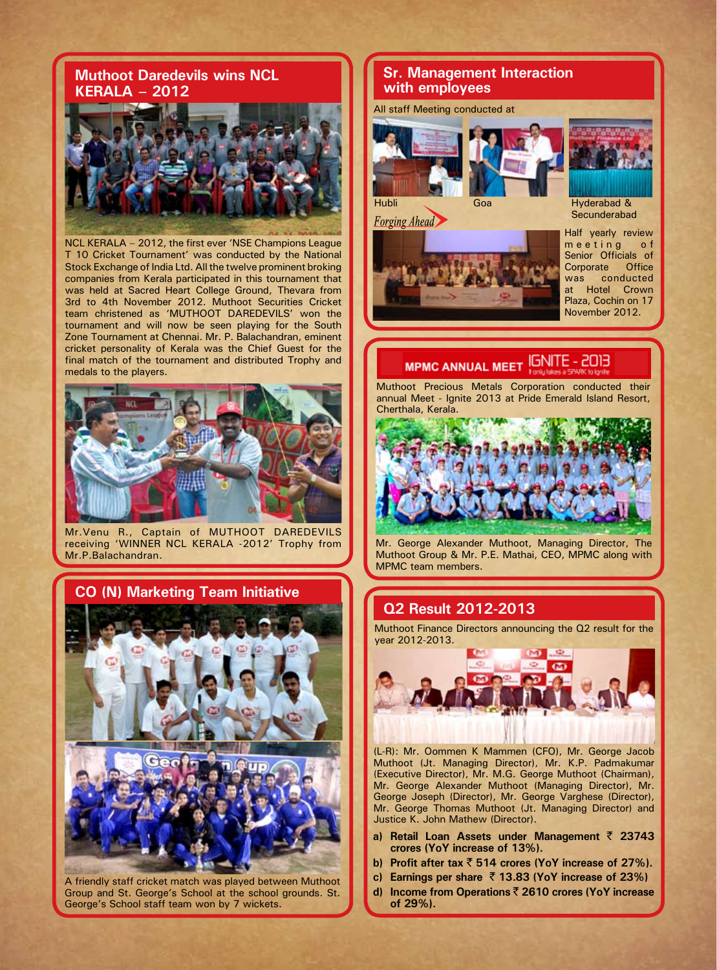## **Muthoot Daredevils wins NCL KERALA – 2012**



NCL KERALA – 2012, the first ever 'NSE Champions League T 10 Cricket Tournament' was conducted by the National Stock Exchange of India Ltd. All the twelve prominent broking companies from Kerala participated in this tournament that was held at Sacred Heart College Ground, Thevara from 3rd to 4th November 2012. Muthoot Securities Cricket team christened as 'MUTHOOT DAREDEVILS' won the tournament and will now be seen playing for the South Zone Tournament at Chennai. Mr. P. Balachandran, eminent cricket personality of Kerala was the Chief Guest for the final match of the tournament and distributed Trophy and medals to the players.



Mr.Venu R., Captain of MUTHOOT DAREDEVILS receiving 'WINNER NCL KERALA -2012' Trophy from Mr.P.Balachandran.



A friendly staff cricket match was played between Muthoot Group and St. George's School at the school grounds. St. George's School staff team won by 7 wickets.

## **Sr. Management Interaction with employees**

All staff Meeting conducted at







**Secunderabad** 

Half yearly review meeting of Senior Officials of<br>Corporate Office Corporate was conducted at Hotel Crown Plaza, Cochin on 17 November 2012.

#### **IGNITE - 2013 MPMC ANNUAL MEET**

Muthoot Precious Metals Corporation conducted their annual Meet - Ignite 2013 at Pride Emerald Island Resort, Cherthala, Kerala.



Mr. George Alexander Muthoot, Managing Director, The Muthoot Group & Mr. P.E. Mathai, CEO, MPMC along with MPMC team members.

## **Q2 Result 2012-2013**

Muthoot Finance Directors announcing the Q2 result for the year 2012-2013.



(L-R): Mr. Oommen K Mammen (CFO), Mr. George Jacob Muthoot (Jt. Managing Director), Mr. K.P. Padmakumar (Executive Director), Mr. M.G. George Muthoot (Chairman), Mr. George Alexander Muthoot (Managing Director), Mr. George Joseph (Director), Mr. George Varghese (Director), Mr. George Thomas Muthoot (Jt. Managing Director) and Justice K. John Mathew (Director).

- **a) Retail Loan Assets under Management** ` **23743 crores (YoY increase of 13%).**
- **b) Profit after tax** ` **514 crores (YoY increase of 27%).**
- **c) Earnings per share** ` **13.83 (YoY increase of 23%)**
- **d) Income from Operations** ` **2610 crores (YoY increase of 29%).**